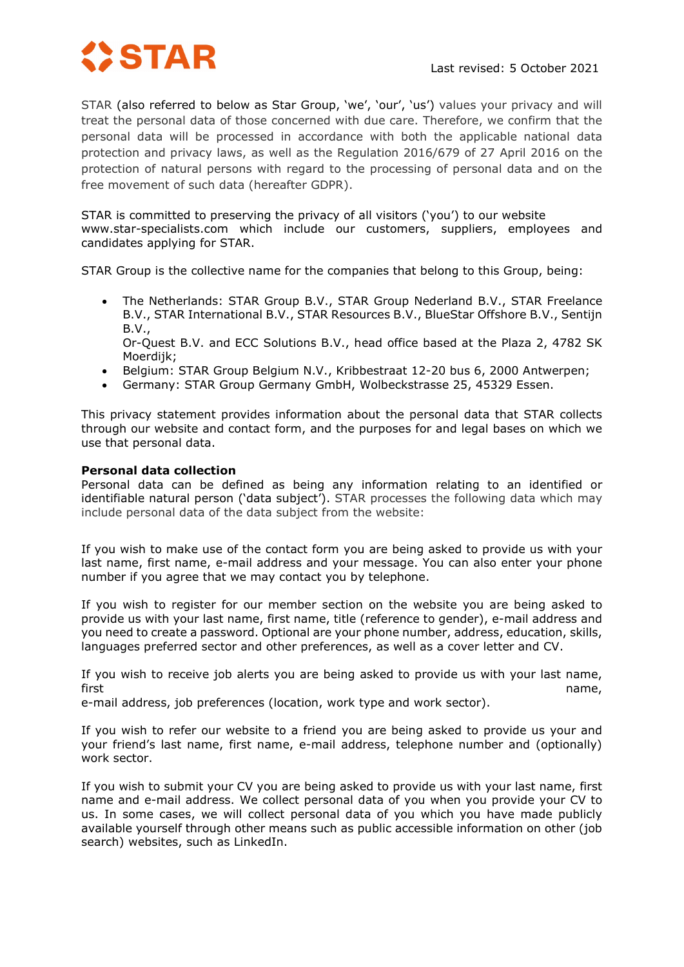

STAR (also referred to below as Star Group, 'we', 'our', 'us') values your privacy and will treat the personal data of those concerned with due care. Therefore, we confirm that the personal data will be processed in accordance with both the applicable national data protection and privacy laws, as well as the Regulation 2016/679 of 27 April 2016 on the protection of natural persons with regard to the processing of personal data and on the free movement of such data (hereafter GDPR).

STAR is committed to preserving the privacy of all visitors ('you') to our website www.star-specialists.com which include our customers, suppliers, employees and candidates applying for STAR.

STAR Group is the collective name for the companies that belong to this Group, being:

• The Netherlands: STAR Group B.V., STAR Group Nederland B.V., STAR Freelance B.V., STAR International B.V., STAR Resources B.V., BlueStar Offshore B.V., Sentijn B.V.,

Or-Quest B.V. and ECC Solutions B.V., head office based at the Plaza 2, 4782 SK Moerdijk;

- Belgium: STAR Group Belgium N.V., Kribbestraat 12-20 bus 6, 2000 Antwerpen;
- Germany: STAR Group Germany GmbH, Wolbeckstrasse 25, 45329 Essen.

This privacy statement provides information about the personal data that STAR collects through our website and contact form, and the purposes for and legal bases on which we use that personal data.

### **Personal data collection**

Personal data can be defined as being any information relating to an identified or identifiable natural person ('data subject'). STAR processes the following data which may include personal data of the data subject from the website:

If you wish to make use of the contact form you are being asked to provide us with your last name, first name, e-mail address and your message. You can also enter your phone number if you agree that we may contact you by telephone.

If you wish to register for our member section on the website you are being asked to provide us with your last name, first name, title (reference to gender), e-mail address and you need to create a password. Optional are your phone number, address, education, skills, languages preferred sector and other preferences, as well as a cover letter and CV.

If you wish to receive job alerts you are being asked to provide us with your last name, first name,

e-mail address, job preferences (location, work type and work sector).

If you wish to refer our website to a friend you are being asked to provide us your and your friend's last name, first name, e-mail address, telephone number and (optionally) work sector.

If you wish to submit your CV you are being asked to provide us with your last name, first name and e-mail address. We collect personal data of you when you provide your CV to us. In some cases, we will collect personal data of you which you have made publicly available yourself through other means such as public accessible information on other (job search) websites, such as LinkedIn.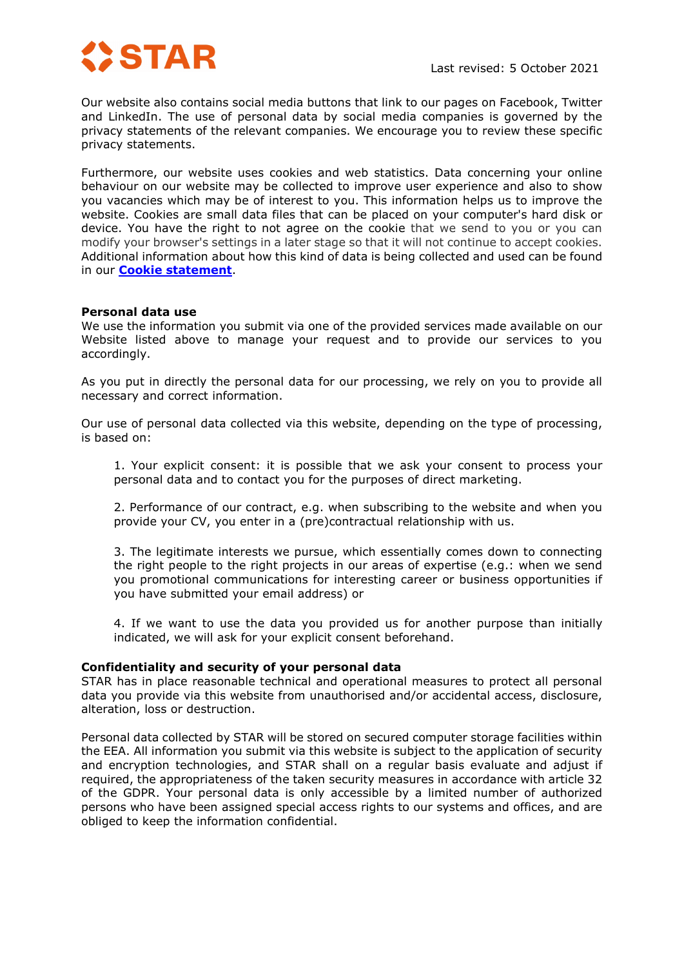

Our website also contains social media buttons that link to our pages on Facebook, Twitter and LinkedIn. The use of personal data by social media companies is governed by the privacy statements of the relevant companies. We encourage you to review these specific privacy statements.

Furthermore, our website uses cookies and web statistics. Data concerning your online behaviour on our website may be collected to improve user experience and also to show you vacancies which may be of interest to you. This information helps us to improve the website. Cookies are small data files that can be placed on your computer's hard disk or device. You have the right to not agree on the cookie that we send to you or you can modify your browser's settings in a later stage so that it will not continue to accept cookies. Additional information about how this kind of data is being collected and used can be found in our **[Cookie statement](https://star-specialists.com/wp-content/uploads/2021/11/cookie-2021.pdf)**.

## **Personal data use**

We use the information you submit via one of the provided services made available on our Website listed above to manage your request and to provide our services to you accordingly.

As you put in directly the personal data for our processing, we rely on you to provide all necessary and correct information.

Our use of personal data collected via this website, depending on the type of processing, is based on:

1. Your explicit consent: it is possible that we ask your consent to process your personal data and to contact you for the purposes of direct marketing.

2. Performance of our contract, e.g. when subscribing to the website and when you provide your CV, you enter in a (pre)contractual relationship with us.

3. The legitimate interests we pursue, which essentially comes down to connecting the right people to the right projects in our areas of expertise (e.g.: when we send you promotional communications for interesting career or business opportunities if you have submitted your email address) or

4. If we want to use the data you provided us for another purpose than initially indicated, we will ask for your explicit consent beforehand.

#### **Confidentiality and security of your personal data**

STAR has in place reasonable technical and operational measures to protect all personal data you provide via this website from unauthorised and/or accidental access, disclosure, alteration, loss or destruction.

Personal data collected by STAR will be stored on secured computer storage facilities within the EEA. All information you submit via this website is subject to the application of security and encryption technologies, and STAR shall on a regular basis evaluate and adjust if required, the appropriateness of the taken security measures in accordance with article 32 of the GDPR. Your personal data is only accessible by a limited number of authorized persons who have been assigned special access rights to our systems and offices, and are obliged to keep the information confidential.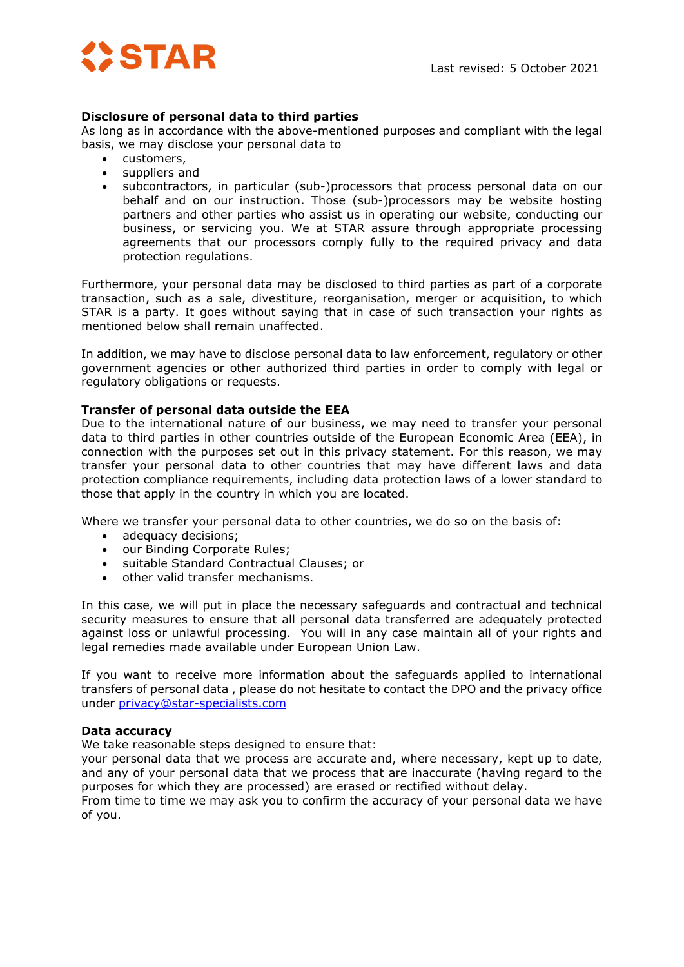

# **Disclosure of personal data to third parties**

As long as in accordance with the above-mentioned purposes and compliant with the legal basis, we may disclose your personal data to

- customers,
- suppliers and
- subcontractors, in particular (sub-)processors that process personal data on our behalf and on our instruction. Those (sub-)processors may be website hosting partners and other parties who assist us in operating our website, conducting our business, or servicing you. We at STAR assure through appropriate processing agreements that our processors comply fully to the required privacy and data protection regulations.

Furthermore, your personal data may be disclosed to third parties as part of a corporate transaction, such as a sale, divestiture, reorganisation, merger or acquisition, to which STAR is a party. It goes without saying that in case of such transaction your rights as mentioned below shall remain unaffected.

In addition, we may have to disclose personal data to law enforcement, regulatory or other government agencies or other authorized third parties in order to comply with legal or regulatory obligations or requests.

# **Transfer of personal data outside the EEA**

Due to the international nature of our business, we may need to transfer your personal data to third parties in other countries outside of the European Economic Area (EEA), in connection with the purposes set out in this privacy statement. For this reason, we may transfer your personal data to other countries that may have different laws and data protection compliance requirements, including data protection laws of a lower standard to those that apply in the country in which you are located.

Where we transfer your personal data to other countries, we do so on the basis of:

- adequacy decisions;
- our Binding Corporate Rules;
- suitable Standard Contractual Clauses; or
- other valid transfer mechanisms.

In this case, we will put in place the necessary safeguards and contractual and technical security measures to ensure that all personal data transferred are adequately protected against loss or unlawful processing. You will in any case maintain all of your rights and legal remedies made available under European Union Law.

If you want to receive more information about the safeguards applied to international transfers of personal data , please do not hesitate to contact the DPO and the privacy office under [privacy@star-specialists.com](mailto:privacy@star-specialists.com)

## **Data accuracy**

We take reasonable steps designed to ensure that:

your personal data that we process are accurate and, where necessary, kept up to date, and any of your personal data that we process that are inaccurate (having regard to the purposes for which they are processed) are erased or rectified without delay.

From time to time we may ask you to confirm the accuracy of your personal data we have of you.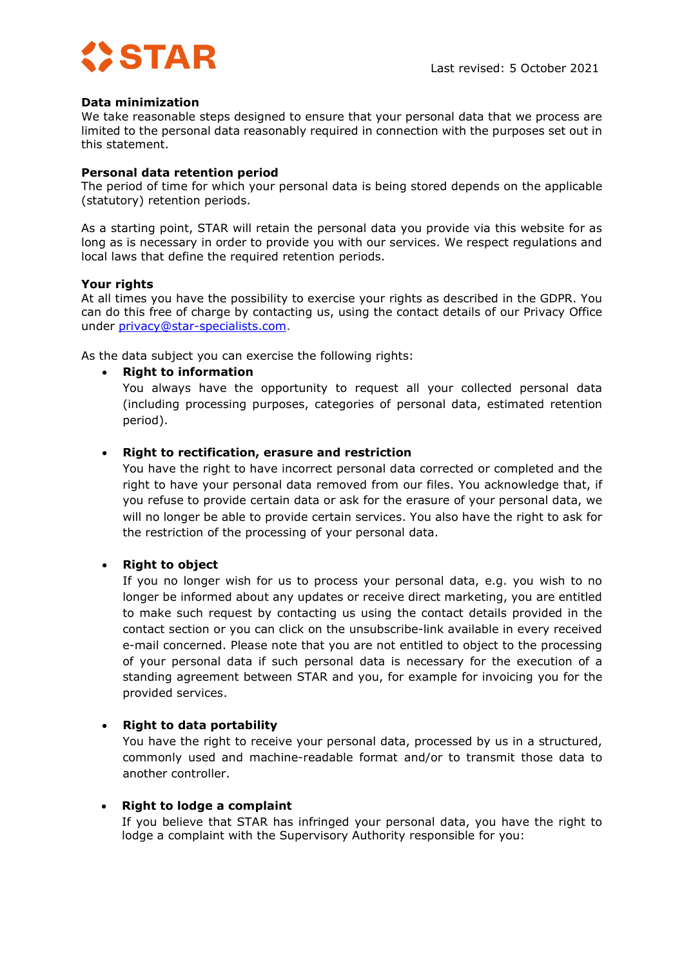

## **Data minimization**

We take reasonable steps designed to ensure that your personal data that we process are limited to the personal data reasonably required in connection with the purposes set out in this statement.

### **Personal data retention period**

The period of time for which your personal data is being stored depends on the applicable (statutory) retention periods.

As a starting point, STAR will retain the personal data you provide via this website for as long as is necessary in order to provide you with our services. We respect regulations and local laws that define the required retention periods.

### **Your rights**

At all times you have the possibility to exercise your rights as described in the GDPR. You can do this free of charge by contacting us, using the contact details of our Privacy Office under [privacy@star-specialists.com.](mailto:privacy@star-specialists.com)

As the data subject you can exercise the following rights:

### • **Right to information**

You always have the opportunity to request all your collected personal data (including processing purposes, categories of personal data, estimated retention period).

## • **Right to rectification, erasure and restriction**

You have the right to have incorrect personal data corrected or completed and the right to have your personal data removed from our files. You acknowledge that, if you refuse to provide certain data or ask for the erasure of your personal data, we will no longer be able to provide certain services. You also have the right to ask for the restriction of the processing of your personal data.

## • **Right to object**

If you no longer wish for us to process your personal data, e.g. you wish to no longer be informed about any updates or receive direct marketing, you are entitled to make such request by contacting us using the contact details provided in the contact section or you can click on the unsubscribe-link available in every received e-mail concerned. Please note that you are not entitled to object to the processing of your personal data if such personal data is necessary for the execution of a standing agreement between STAR and you, for example for invoicing you for the provided services.

## • **Right to data portability**

You have the right to receive your personal data, processed by us in a structured, commonly used and machine-readable format and/or to transmit those data to another controller.

#### • **Right to lodge a complaint**

If you believe that STAR has infringed your personal data, you have the right to lodge a complaint with the Supervisory Authority responsible for you: